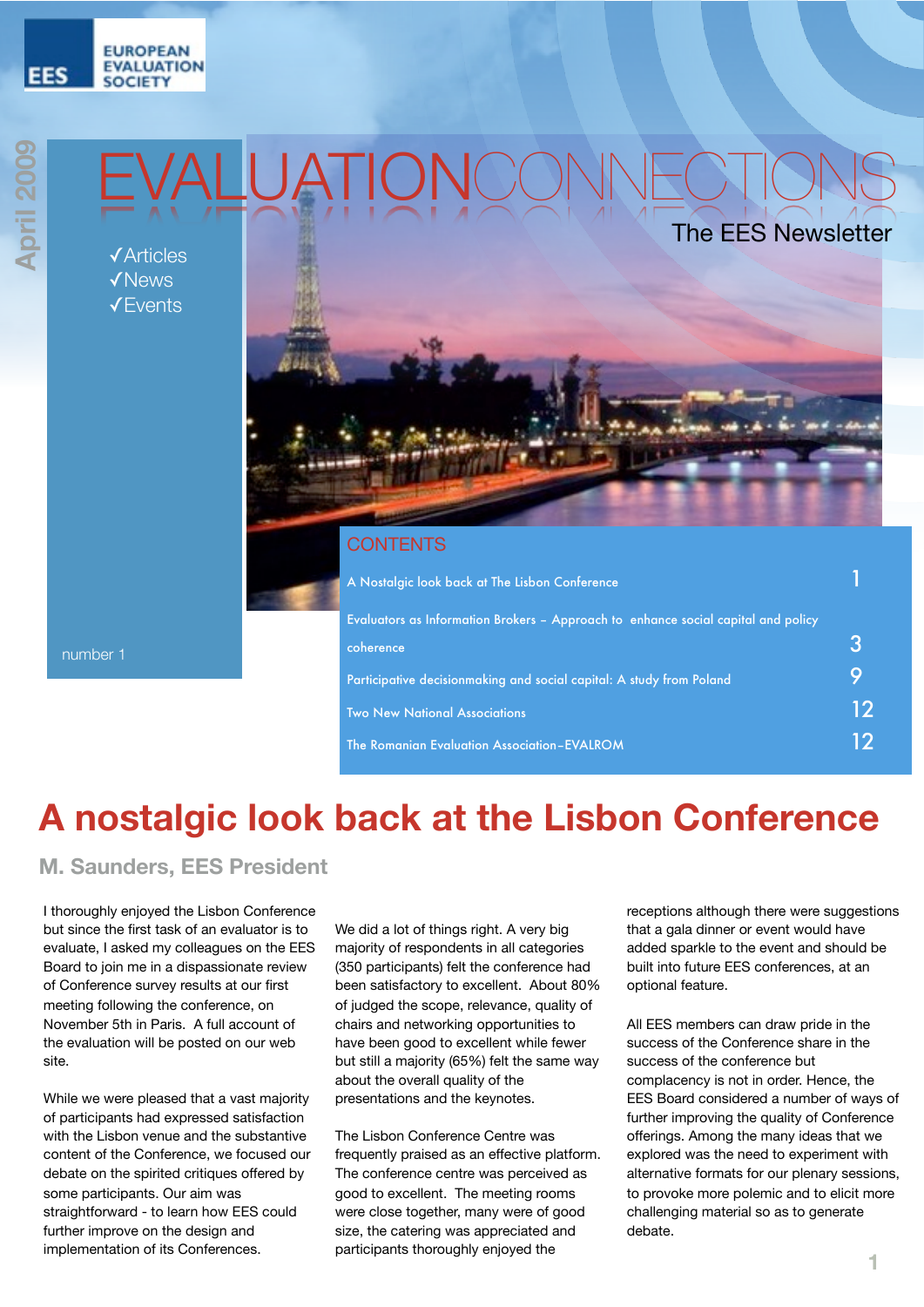#### **EUROPEAN EVALUATION SOCIETY**

**EES** 

# EVALUATIONCONNECTIONS

✓Articles ✓News ✓Events



#### **CONTENTS**

| A Nostalgic look back at The Lisbon Conference                                    |     |
|-----------------------------------------------------------------------------------|-----|
| Evaluators as Information Brokers – Approach to enhance social capital and policy |     |
| coherence                                                                         |     |
| Participative decisionmaking and social capital: A study from Poland              |     |
| <b>Two New National Associations</b>                                              | 12. |
| The Romanian Evaluation Association-EVALROM                                       |     |

number 1

# **A nostalgic look back at the Lisbon Conference**

#### **M. Saunders, EES President**

I thoroughly enjoyed the Lisbon Conference but since the first task of an evaluator is to evaluate, I asked my colleagues on the EES Board to join me in a dispassionate review of Conference survey results at our first meeting following the conference, on November 5th in Paris. A full account of the evaluation will be posted on our web site.

While we were pleased that a vast majority of participants had expressed satisfaction with the Lisbon venue and the substantive content of the Conference, we focused our debate on the spirited critiques offered by some participants. Our aim was straightforward - to learn how EES could further improve on the design and implementation of its Conferences.

We did a lot of things right. A very big majority of respondents in all categories (350 participants) felt the conference had been satisfactory to excellent. About 80% of judged the scope, relevance, quality of chairs and networking opportunities to have been good to excellent while fewer but still a majority (65%) felt the same way about the overall quality of the presentations and the keynotes.

The Lisbon Conference Centre was frequently praised as an effective platform. The conference centre was perceived as good to excellent. The meeting rooms were close together, many were of good size, the catering was appreciated and participants thoroughly enjoyed the

receptions although there were suggestions that a gala dinner or event would have added sparkle to the event and should be built into future EES conferences, at an optional feature.

All EES members can draw pride in the success of the Conference share in the success of the conference but complacency is not in order. Hence, the EES Board considered a number of ways of further improving the quality of Conference offerings. Among the many ideas that we explored was the need to experiment with alternative formats for our plenary sessions, to provoke more polemic and to elicit more challenging material so as to generate debate.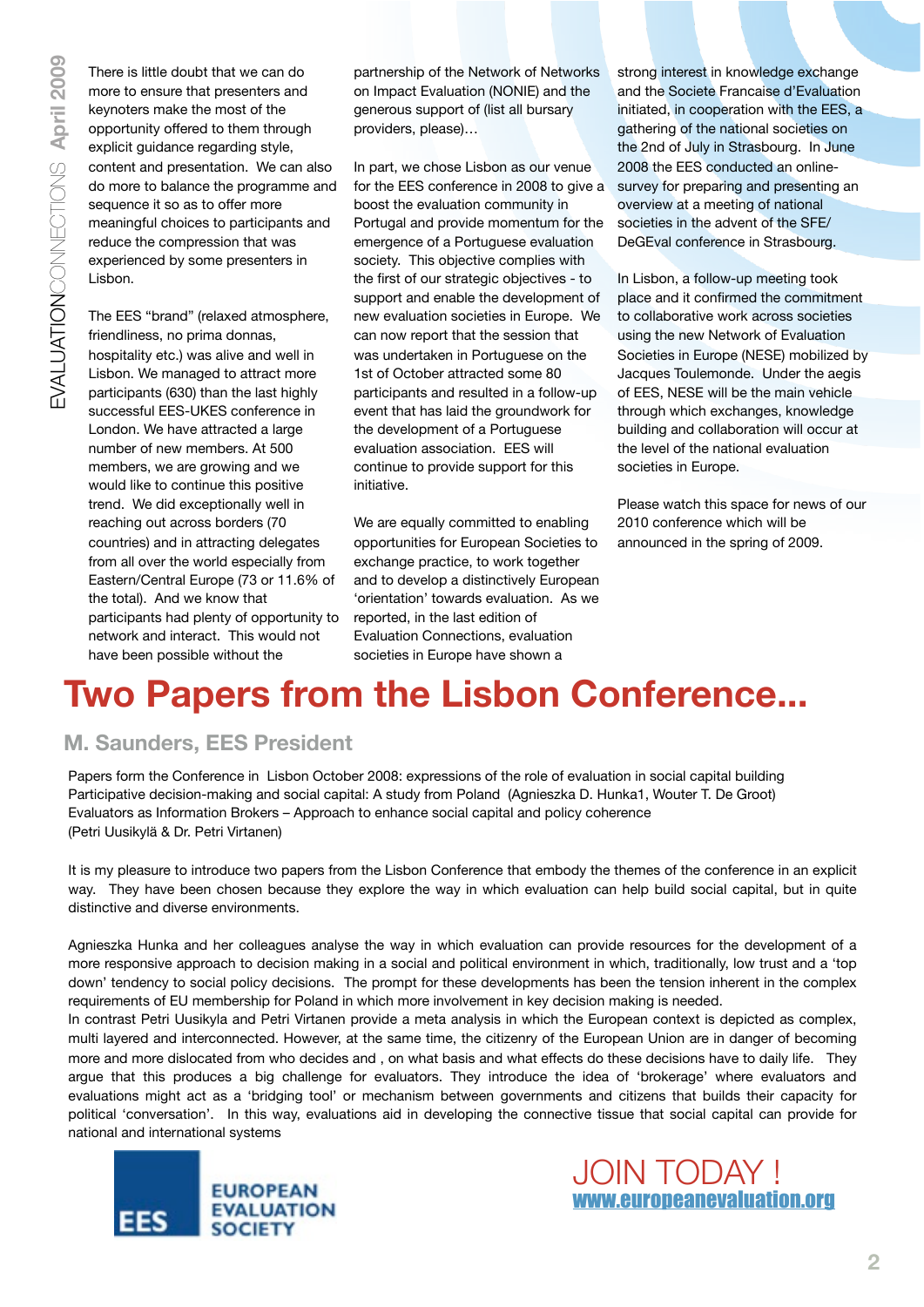There is little doubt that we can do more to ensure that presenters and keynoters make the most of the opportunity offered to them through explicit guidance regarding style, content and presentation. We can also do more to balance the programme and sequence it so as to offer more meaningful choices to participants and reduce the compression that was experienced by some presenters in Lisbon.

The EES "brand" (relaxed atmosphere, friendliness, no prima donnas, hospitality etc.) was alive and well in Lisbon. We managed to attract more participants (630) than the last highly successful EES-UKES conference in London. We have attracted a large number of new members. At 500 members, we are growing and we would like to continue this positive trend. We did exceptionally well in reaching out across borders (70 countries) and in attracting delegates from all over the world especially from Eastern/Central Europe (73 or 11.6% of the total). And we know that participants had plenty of opportunity to network and interact. This would not have been possible without the

partnership of the Network of Networks on Impact Evaluation (NONIE) and the generous support of (list all bursary providers, please)…

In part, we chose Lisbon as our venue for the EES conference in 2008 to give a boost the evaluation community in Portugal and provide momentum for the emergence of a Portuguese evaluation society. This objective complies with the first of our strategic objectives - to support and enable the development of new evaluation societies in Europe. We can now report that the session that was undertaken in Portuguese on the 1st of October attracted some 80 participants and resulted in a follow-up event that has laid the groundwork for the development of a Portuguese evaluation association. EES will continue to provide support for this initiative.

We are equally committed to enabling opportunities for European Societies to exchange practice, to work together and to develop a distinctively European 'orientation' towards evaluation. As we reported, in the last edition of Evaluation Connections, evaluation societies in Europe have shown a

strong interest in knowledge exchange and the Societe Francaise d'Evaluation initiated, in cooperation with the EES, a gathering of the national societies on the 2nd of July in Strasbourg. In June 2008 the EES conducted an onlinesurvey for preparing and presenting an overview at a meeting of national societies in the advent of the SFE/ DeGEval conference in Strasbourg.

In Lisbon, a follow-up meeting took place and it confirmed the commitment to collaborative work across societies using the new Network of Evaluation Societies in Europe (NESE) mobilized by Jacques Toulemonde. Under the aegis of EES, NESE will be the main vehicle through which exchanges, knowledge building and collaboration will occur at the level of the national evaluation societies in Europe.

Please watch this space for news of our 2010 conference which will be announced in the spring of 2009.

# **Two Papers from the Lisbon Conference...**

#### **M. Saunders, EES President**

Papers form the Conference in Lisbon October 2008: expressions of the role of evaluation in social capital building Participative decision-making and social capital: A study from Poland (Agnieszka D. Hunka1, Wouter T. De Groot) Evaluators as Information Brokers – Approach to enhance social capital and policy coherence (Petri Uusikylä & Dr. Petri Virtanen)

It is my pleasure to introduce two papers from the Lisbon Conference that embody the themes of the conference in an explicit way. They have been chosen because they explore the way in which evaluation can help build social capital, but in quite distinctive and diverse environments.

Agnieszka Hunka and her colleagues analyse the way in which evaluation can provide resources for the development of a more responsive approach to decision making in a social and political environment in which, traditionally, low trust and a 'top down' tendency to social policy decisions. The prompt for these developments has been the tension inherent in the complex requirements of EU membership for Poland in which more involvement in key decision making is needed.

In contrast Petri Uusikyla and Petri Virtanen provide a meta analysis in which the European context is depicted as complex, multi layered and interconnected. However, at the same time, the citizenry of the European Union are in danger of becoming more and more dislocated from who decides and , on what basis and what effects do these decisions have to daily life. They argue that this produces a big challenge for evaluators. They introduce the idea of 'brokerage' where evaluators and evaluations might act as a 'bridging tool' or mechanism between governments and citizens that builds their capacity for political 'conversation'. In this way, evaluations aid in developing the connective tissue that social capital can provide for national and international systems



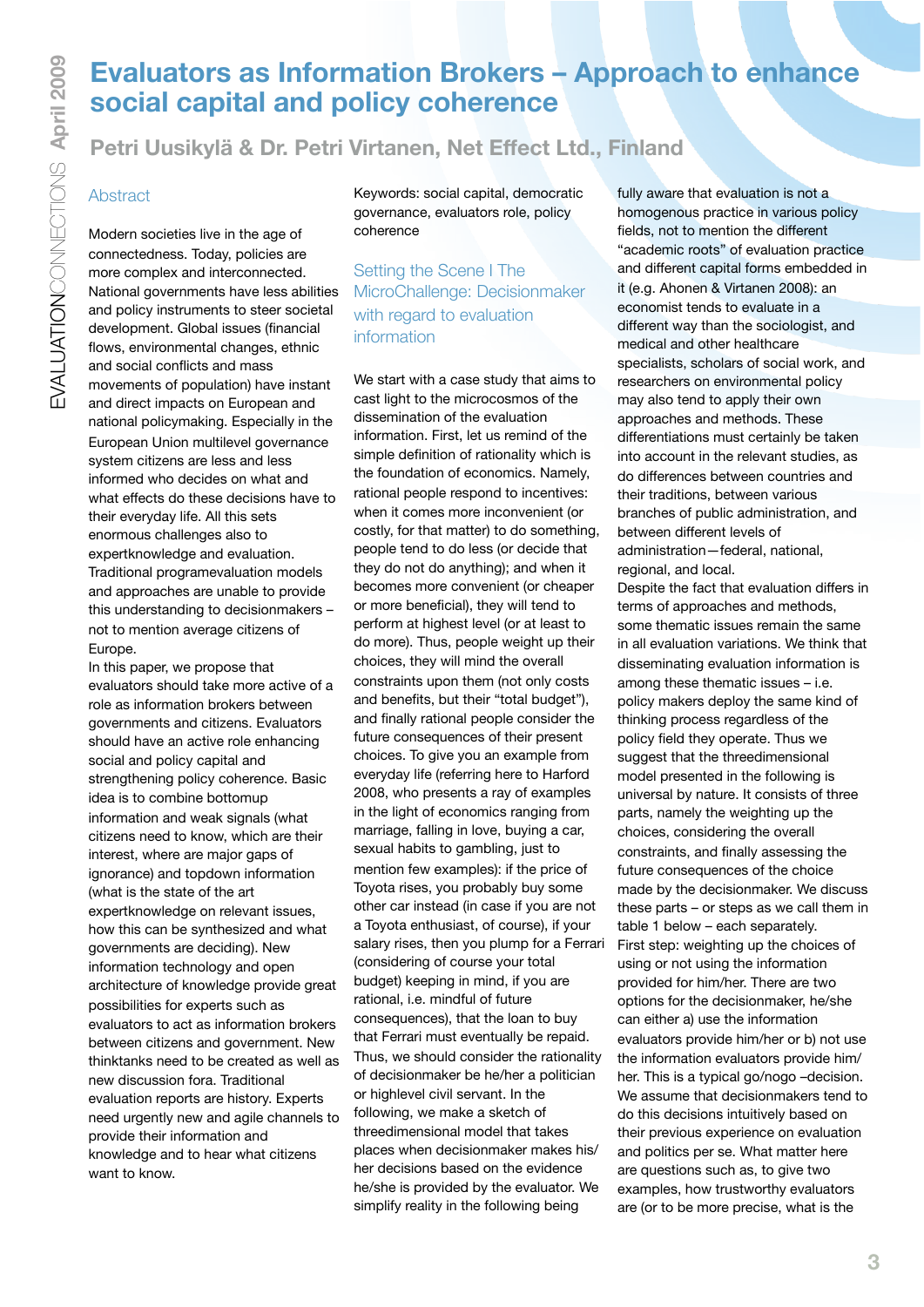### **Evaluators as Information Brokers – Approach to enhance social capital and policy coherence**

**Petri Uusikylä & Dr. Petri Virtanen, Net Effect Ltd., Finland** 

#### **Abstract**

Modern societies live in the age of connectedness. Today, policies are more complex and interconnected. National governments have less abilities and policy instruments to steer societal development. Global issues (financial flows, environmental changes, ethnic and social conflicts and mass movements of population) have instant and direct impacts on European and national policymaking. Especially in the European Union multilevel governance system citizens are less and less informed who decides on what and what effects do these decisions have to their everyday life. All this sets enormous challenges also to expertknowledge and evaluation. Traditional programevaluation models and approaches are unable to provide this understanding to decisionmakers – not to mention average citizens of Europe.

In this paper, we propose that evaluators should take more active of a role as information brokers between governments and citizens. Evaluators should have an active role enhancing social and policy capital and strengthening policy coherence. Basic idea is to combine bottomup information and weak signals (what citizens need to know, which are their interest, where are major gaps of ignorance) and topdown information (what is the state of the art expertknowledge on relevant issues, how this can be synthesized and what governments are deciding). New information technology and open architecture of knowledge provide great possibilities for experts such as evaluators to act as information brokers between citizens and government. New thinktanks need to be created as well as new discussion fora. Traditional evaluation reports are history. Experts need urgently new and agile channels to provide their information and knowledge and to hear what citizens want to know.

Keywords: social capital, democratic governance, evaluators role, policy coherence

#### Setting the Scene I The MicroChallenge: Decisionmaker with regard to evaluation information

We start with a case study that aims to cast light to the microcosmos of the dissemination of the evaluation information. First, let us remind of the simple definition of rationality which is the foundation of economics. Namely, rational people respond to incentives: when it comes more inconvenient (or costly, for that matter) to do something, people tend to do less (or decide that they do not do anything); and when it becomes more convenient (or cheaper or more beneficial), they will tend to perform at highest level (or at least to do more). Thus, people weight up their choices, they will mind the overall constraints upon them (not only costs and benefits, but their "total budget"), and finally rational people consider the future consequences of their present choices. To give you an example from everyday life (referring here to Harford 2008, who presents a ray of examples in the light of economics ranging from marriage, falling in love, buying a car, sexual habits to gambling, just to mention few examples): if the price of Toyota rises, you probably buy some other car instead (in case if you are not a Toyota enthusiast, of course), if your salary rises, then you plump for a Ferrari (considering of course your total budget) keeping in mind, if you are rational, i.e. mindful of future consequences), that the loan to buy that Ferrari must eventually be repaid. Thus, we should consider the rationality of decisionmaker be he/her a politician or highlevel civil servant. In the following, we make a sketch of threedimensional model that takes places when decisionmaker makes his/ her decisions based on the evidence he/she is provided by the evaluator. We simplify reality in the following being

fully aware that evaluation is not a homogenous practice in various policy fields, not to mention the different "academic roots" of evaluation practice and different capital forms embedded in it (e.g. Ahonen & Virtanen 2008): an economist tends to evaluate in a different way than the sociologist, and medical and other healthcare specialists, scholars of social work, and researchers on environmental policy may also tend to apply their own approaches and methods. These differentiations must certainly be taken into account in the relevant studies, as do differences between countries and their traditions, between various branches of public administration, and between different levels of administration—federal, national, regional, and local.

Despite the fact that evaluation differs in terms of approaches and methods, some thematic issues remain the same in all evaluation variations. We think that disseminating evaluation information is among these thematic issues – i.e. policy makers deploy the same kind of thinking process regardless of the policy field they operate. Thus we suggest that the threedimensional model presented in the following is universal by nature. It consists of three parts, namely the weighting up the choices, considering the overall constraints, and finally assessing the future consequences of the choice made by the decisionmaker. We discuss these parts – or steps as we call them in table 1 below – each separately. First step: weighting up the choices of using or not using the information provided for him/her. There are two options for the decisionmaker, he/she can either a) use the information evaluators provide him/her or b) not use the information evaluators provide him/ her. This is a typical go/nogo –decision. We assume that decisionmakers tend to do this decisions intuitively based on their previous experience on evaluation and politics per se. What matter here are questions such as, to give two examples, how trustworthy evaluators are (or to be more precise, what is the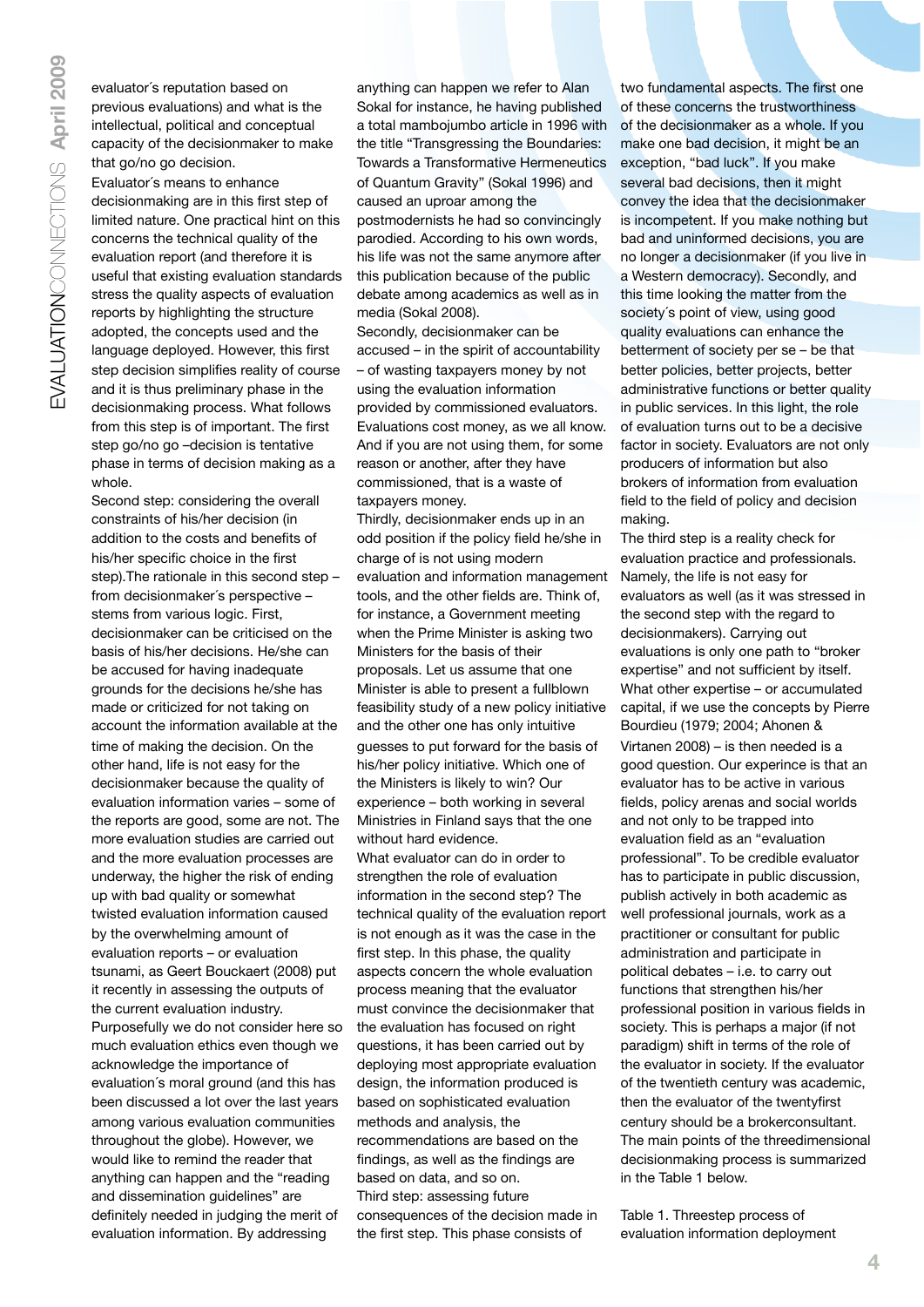evaluator´s reputation based on previous evaluations) and what is the intellectual, political and conceptual capacity of the decisionmaker to make that go/no go decision.

Evaluator´s means to enhance decisionmaking are in this first step of limited nature. One practical hint on this concerns the technical quality of the evaluation report (and therefore it is useful that existing evaluation standards stress the quality aspects of evaluation reports by highlighting the structure adopted, the concepts used and the language deployed. However, this first step decision simplifies reality of course and it is thus preliminary phase in the decisionmaking process. What follows from this step is of important. The first step go/no go –decision is tentative phase in terms of decision making as a whole.

Second step: considering the overall constraints of his/her decision (in addition to the costs and benefits of his/her specific choice in the first step).The rationale in this second step – from decisionmaker´s perspective – stems from various logic. First, decisionmaker can be criticised on the basis of his/her decisions. He/she can be accused for having inadequate grounds for the decisions he/she has made or criticized for not taking on account the information available at the time of making the decision. On the other hand, life is not easy for the decisionmaker because the quality of evaluation information varies – some of the reports are good, some are not. The more evaluation studies are carried out and the more evaluation processes are underway, the higher the risk of ending up with bad quality or somewhat twisted evaluation information caused by the overwhelming amount of evaluation reports – or evaluation tsunami, as Geert Bouckaert (2008) put it recently in assessing the outputs of the current evaluation industry. Purposefully we do not consider here so much evaluation ethics even though we acknowledge the importance of evaluation´s moral ground (and this has been discussed a lot over the last years among various evaluation communities throughout the globe). However, we would like to remind the reader that anything can happen and the "reading and dissemination guidelines" are definitely needed in judging the merit of evaluation information. By addressing

anything can happen we refer to Alan Sokal for instance, he having published a total mambojumbo article in 1996 with the title "Transgressing the Boundaries: Towards a Transformative Hermeneutics of Quantum Gravity" (Sokal 1996) and caused an uproar among the postmodernists he had so convincingly parodied. According to his own words, his life was not the same anymore after this publication because of the public debate among academics as well as in media (Sokal 2008). Secondly, decisionmaker can be

accused – in the spirit of accountability – of wasting taxpayers money by not using the evaluation information provided by commissioned evaluators. Evaluations cost money, as we all know. And if you are not using them, for some reason or another, after they have commissioned, that is a waste of taxpayers money.

Thirdly, decisionmaker ends up in an odd position if the policy field he/she in charge of is not using modern evaluation and information management tools, and the other fields are. Think of, for instance, a Government meeting when the Prime Minister is asking two Ministers for the basis of their proposals. Let us assume that one Minister is able to present a fullblown feasibility study of a new policy initiative and the other one has only intuitive guesses to put forward for the basis of his/her policy initiative. Which one of the Ministers is likely to win? Our experience – both working in several Ministries in Finland says that the one without hard evidence. What evaluator can do in order to strengthen the role of evaluation information in the second step? The technical quality of the evaluation report is not enough as it was the case in the first step. In this phase, the quality aspects concern the whole evaluation process meaning that the evaluator must convince the decisionmaker that the evaluation has focused on right questions, it has been carried out by deploying most appropriate evaluation design, the information produced is based on sophisticated evaluation methods and analysis, the recommendations are based on the findings, as well as the findings are based on data, and so on.

Third step: assessing future consequences of the decision made in the first step. This phase consists of

two fundamental aspects. The first one of these concerns the trustworthiness of the decisionmaker as a whole. If you make one bad decision, it might be an exception, "bad luck". If you make several bad decisions, then it might convey the idea that the decisionmaker is incompetent. If you make nothing but bad and uninformed decisions, you are no longer a decisionmaker (if you live in a Western democracy). Secondly, and this time looking the matter from the society´s point of view, using good quality evaluations can enhance the betterment of society per se – be that better policies, better projects, better administrative functions or better quality in public services. In this light, the role of evaluation turns out to be a decisive factor in society. Evaluators are not only producers of information but also brokers of information from evaluation field to the field of policy and decision making.

The third step is a reality check for evaluation practice and professionals. Namely, the life is not easy for evaluators as well (as it was stressed in the second step with the regard to decisionmakers). Carrying out evaluations is only one path to "broker expertise" and not sufficient by itself. What other expertise – or accumulated capital, if we use the concepts by Pierre Bourdieu (1979; 2004; Ahonen & Virtanen 2008) – is then needed is a good question. Our experince is that an evaluator has to be active in various fields, policy arenas and social worlds and not only to be trapped into evaluation field as an "evaluation professional". To be credible evaluator has to participate in public discussion, publish actively in both academic as well professional journals, work as a practitioner or consultant for public administration and participate in political debates – i.e. to carry out functions that strengthen his/her professional position in various fields in society. This is perhaps a major (if not paradigm) shift in terms of the role of the evaluator in society. If the evaluator of the twentieth century was academic, then the evaluator of the twentyfirst century should be a brokerconsultant. The main points of the threedimensional decisionmaking process is summarized in the Table 1 below.

Table 1. Threestep process of evaluation information deployment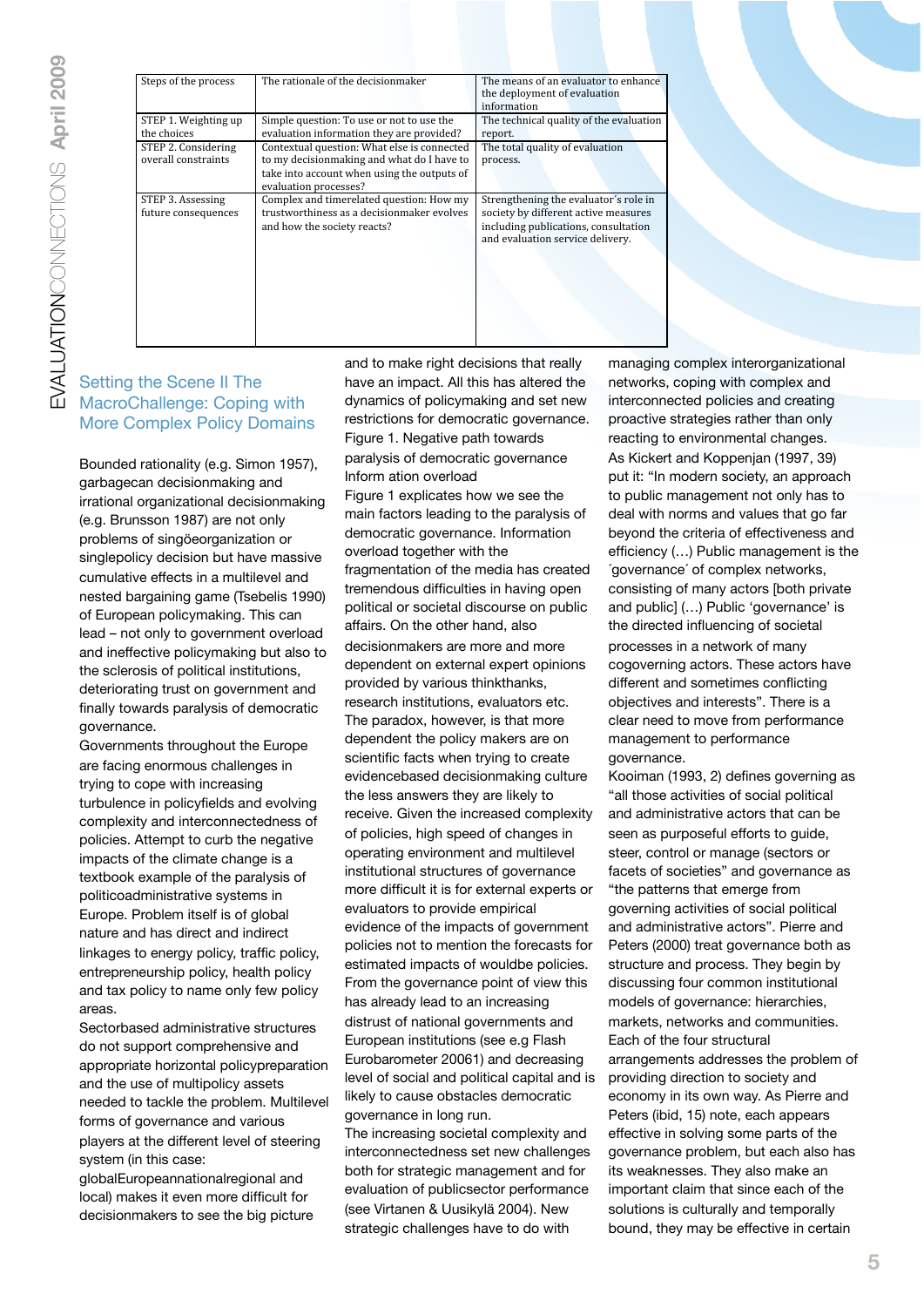| Steps of the process                       | The rationale of the decisionmaker                                                                                                                                | The means of an evaluator to enhance<br>the deployment of evaluation<br>information                                                                       |  |
|--------------------------------------------|-------------------------------------------------------------------------------------------------------------------------------------------------------------------|-----------------------------------------------------------------------------------------------------------------------------------------------------------|--|
| STEP 1. Weighting up<br>the choices        | Simple question: To use or not to use the<br>evaluation information they are provided?                                                                            | The technical quality of the evaluation<br>report.                                                                                                        |  |
| STEP 2. Considering<br>overall constraints | Contextual question: What else is connected<br>to my decisionmaking and what do I have to<br>take into account when using the outputs of<br>evaluation processes? | The total quality of evaluation<br>process.                                                                                                               |  |
| STEP 3. Assessing<br>future consequences   | Complex and timerelated question: How my<br>trustworthiness as a decisionmaker evolves<br>and how the society reacts?                                             | Strengthening the evaluator's role in<br>society by different active measures<br>including publications, consultation<br>and evaluation service delivery. |  |

#### Setting the Scene II The MacroChallenge: Coping with More Complex Policy Domains

Bounded rationality (e.g. Simon 1957), garbagecan decisionmaking and irrational organizational decisionmaking (e.g. Brunsson 1987) are not only problems of singöeorganization or singlepolicy decision but have massive cumulative effects in a multilevel and nested bargaining game (Tsebelis 1990) of European policymaking. This can lead – not only to government overload and ineffective policymaking but also to the sclerosis of political institutions, deteriorating trust on government and finally towards paralysis of democratic governance.

Governments throughout the Europe are facing enormous challenges in trying to cope with increasing turbulence in policyfields and evolving complexity and interconnectedness of policies. Attempt to curb the negative impacts of the climate change is a textbook example of the paralysis of politicoadministrative systems in Europe. Problem itself is of global nature and has direct and indirect linkages to energy policy, traffic policy, entrepreneurship policy, health policy and tax policy to name only few policy areas.

Sectorbased administrative structures do not support comprehensive and appropriate horizontal policypreparation and the use of multipolicy assets needed to tackle the problem. Multilevel forms of governance and various players at the different level of steering system (in this case:

globalEuropeannationalregional and local) makes it even more difficult for decisionmakers to see the big picture and to make right decisions that really have an impact. All this has altered the dynamics of policymaking and set new restrictions for democratic governance. Figure 1. Negative path towards paralysis of democratic governance Inform ation overload Figure 1 explicates how we see the main factors leading to the paralysis of democratic governance. Information overload together with the fragmentation of the media has created tremendous difficulties in having open political or societal discourse on public affairs. On the other hand, also decisionmakers are more and more dependent on external expert opinions provided by various thinkthanks, research institutions, evaluators etc. The paradox, however, is that more dependent the policy makers are on scientific facts when trying to create evidencebased decisionmaking culture the less answers they are likely to

receive. Given the increased complexity of policies, high speed of changes in operating environment and multilevel institutional structures of governance more difficult it is for external experts or evaluators to provide empirical evidence of the impacts of government policies not to mention the forecasts for estimated impacts of wouldbe policies. From the governance point of view this has already lead to an increasing distrust of national governments and European institutions (see e.g Flash Eurobarometer 20061) and decreasing level of social and political capital and is likely to cause obstacles democratic governance in long run.

The increasing societal complexity and interconnectedness set new challenges both for strategic management and for evaluation of publicsector performance (see Virtanen & Uusikylä 2004). New strategic challenges have to do with

managing complex interorganizational networks, coping with complex and interconnected policies and creating proactive strategies rather than only reacting to environmental changes. As Kickert and Koppenjan (1997, 39) put it: "In modern society, an approach to public management not only has to deal with norms and values that go far beyond the criteria of effectiveness and efficiency (…) Public management is the ´governance´ of complex networks, consisting of many actors [both private and public] (…) Public 'governance' is the directed influencing of societal processes in a network of many cogoverning actors. These actors have different and sometimes conflicting objectives and interests". There is a clear need to move from performance management to performance governance.

Kooiman (1993, 2) defines governing as "all those activities of social political and administrative actors that can be seen as purposeful efforts to guide, steer, control or manage (sectors or facets of societies" and governance as "the patterns that emerge from governing activities of social political and administrative actors". Pierre and Peters (2000) treat governance both as structure and process. They begin by discussing four common institutional models of governance: hierarchies, markets, networks and communities. Each of the four structural arrangements addresses the problem of providing direction to society and economy in its own way. As Pierre and Peters (ibid, 15) note, each appears effective in solving some parts of the governance problem, but each also has its weaknesses. They also make an important claim that since each of the solutions is culturally and temporally bound, they may be effective in certain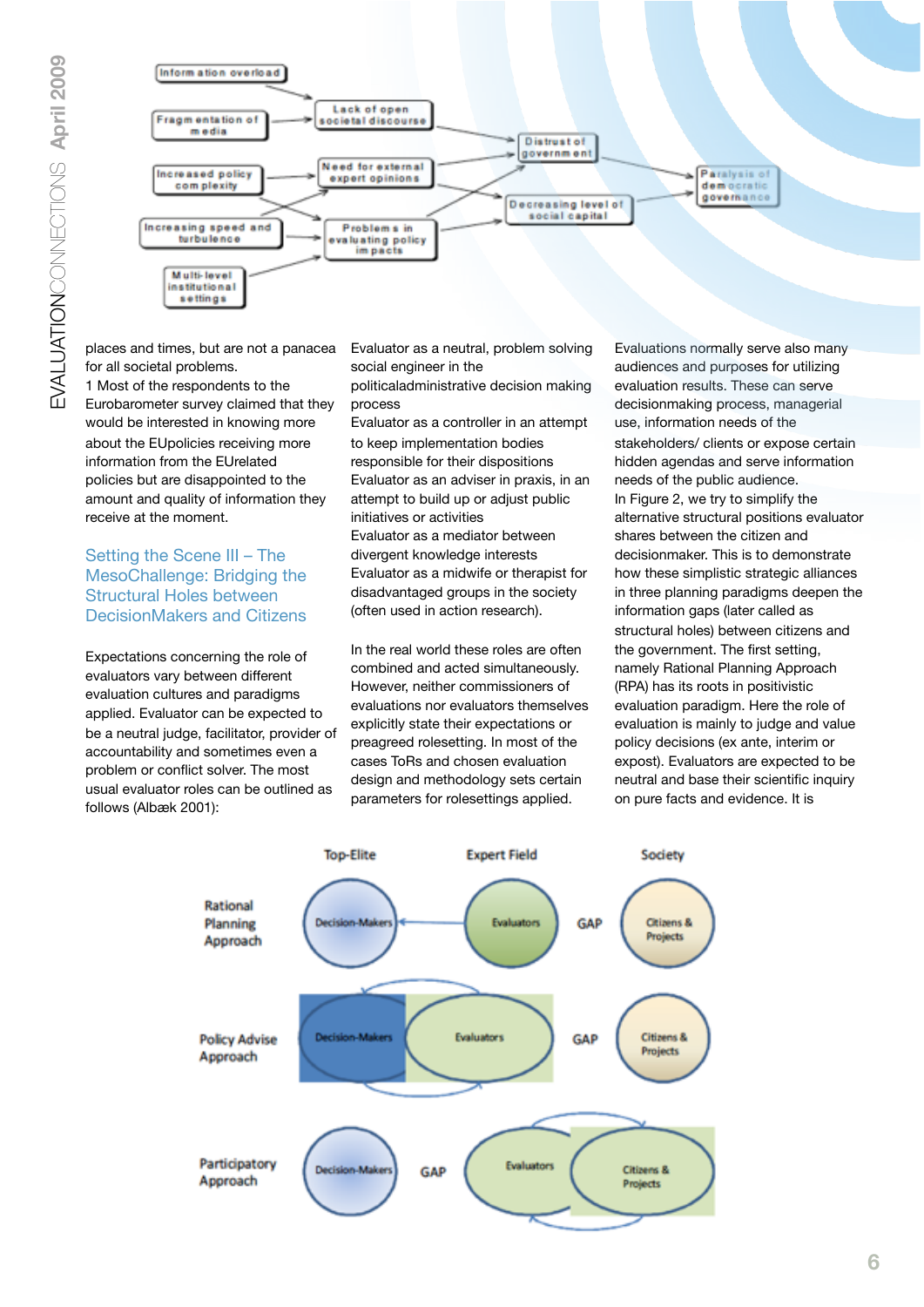

places and times, but are not a panacea for all societal problems.

1 Most of the respondents to the Eurobarometer survey claimed that they would be interested in knowing more about the EUpolicies receiving more information from the EUrelated policies but are disappointed to the amount and quality of information they receive at the moment.

#### Setting the Scene III – The MesoChallenge: Bridging the Structural Holes between DecisionMakers and Citizens

Expectations concerning the role of evaluators vary between different evaluation cultures and paradigms applied. Evaluator can be expected to be a neutral judge, facilitator, provider of accountability and sometimes even a problem or conflict solver. The most usual evaluator roles can be outlined as follows (Albæk 2001):

Evaluator as a neutral, problem solving social engineer in the

politicaladministrative decision making process

Evaluator as a controller in an attempt to keep implementation bodies responsible for their dispositions Evaluator as an adviser in praxis, in an attempt to build up or adjust public initiatives or activities

Evaluator as a mediator between divergent knowledge interests Evaluator as a midwife or therapist for disadvantaged groups in the society (often used in action research).

In the real world these roles are often combined and acted simultaneously. However, neither commissioners of evaluations nor evaluators themselves explicitly state their expectations or preagreed rolesetting. In most of the cases ToRs and chosen evaluation design and methodology sets certain parameters for rolesettings applied.

Evaluations normally serve also many audiences and purposes for utilizing evaluation results. These can serve decisionmaking process, managerial use, information needs of the stakeholders/ clients or expose certain hidden agendas and serve information needs of the public audience. In Figure 2, we try to simplify the alternative structural positions evaluator shares between the citizen and decisionmaker. This is to demonstrate how these simplistic strategic alliances in three planning paradigms deepen the information gaps (later called as structural holes) between citizens and the government. The first setting, namely Rational Planning Approach (RPA) has its roots in positivistic evaluation paradigm. Here the role of evaluation is mainly to judge and value policy decisions (ex ante, interim or expost). Evaluators are expected to be neutral and base their scientific inquiry on pure facts and evidence. It is

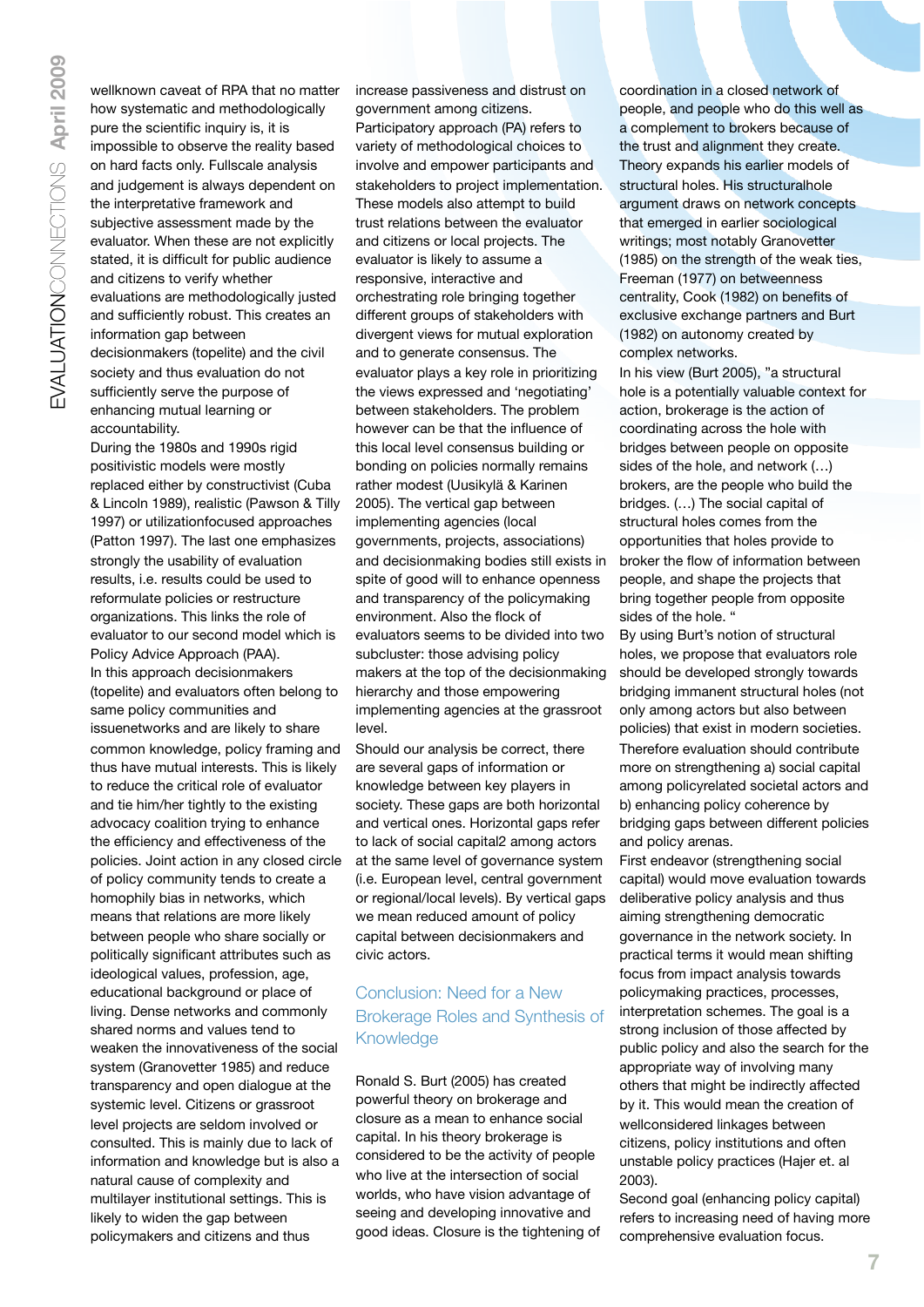wellknown caveat of RPA that no matter how systematic and methodologically pure the scientific inquiry is, it is impossible to observe the reality based on hard facts only. Fullscale analysis and judgement is always dependent on the interpretative framework and subjective assessment made by the evaluator. When these are not explicitly stated, it is difficult for public audience and citizens to verify whether evaluations are methodologically justed and sufficiently robust. This creates an information gap between decisionmakers (topelite) and the civil society and thus evaluation do not sufficiently serve the purpose of enhancing mutual learning or accountability.

During the 1980s and 1990s rigid positivistic models were mostly replaced either by constructivist (Cuba & Lincoln 1989), realistic (Pawson & Tilly 1997) or utilizationfocused approaches (Patton 1997). The last one emphasizes strongly the usability of evaluation results, i.e. results could be used to reformulate policies or restructure organizations. This links the role of evaluator to our second model which is Policy Advice Approach (PAA). In this approach decisionmakers (topelite) and evaluators often belong to same policy communities and issuenetworks and are likely to share common knowledge, policy framing and thus have mutual interests. This is likely to reduce the critical role of evaluator and tie him/her tightly to the existing advocacy coalition trying to enhance the efficiency and effectiveness of the policies. Joint action in any closed circle of policy community tends to create a homophily bias in networks, which means that relations are more likely between people who share socially or politically significant attributes such as ideological values, profession, age, educational background or place of living. Dense networks and commonly shared norms and values tend to weaken the innovativeness of the social system (Granovetter 1985) and reduce transparency and open dialogue at the systemic level. Citizens or grassroot level projects are seldom involved or consulted. This is mainly due to lack of information and knowledge but is also a natural cause of complexity and multilayer institutional settings. This is likely to widen the gap between policymakers and citizens and thus

increase passiveness and distrust on government among citizens. Participatory approach (PA) refers to variety of methodological choices to involve and empower participants and stakeholders to project implementation. These models also attempt to build trust relations between the evaluator and citizens or local projects. The evaluator is likely to assume a responsive, interactive and orchestrating role bringing together different groups of stakeholders with divergent views for mutual exploration and to generate consensus. The evaluator plays a key role in prioritizing the views expressed and 'negotiating' between stakeholders. The problem however can be that the influence of this local level consensus building or bonding on policies normally remains rather modest (Uusikylä & Karinen 2005). The vertical gap between implementing agencies (local governments, projects, associations) and decisionmaking bodies still exists in spite of good will to enhance openness and transparency of the policymaking environment. Also the flock of evaluators seems to be divided into two subcluster: those advising policy makers at the top of the decisionmaking hierarchy and those empowering implementing agencies at the grassroot level.

Should our analysis be correct, there are several gaps of information or knowledge between key players in society. These gaps are both horizontal and vertical ones. Horizontal gaps refer to lack of social capital2 among actors at the same level of governance system (i.e. European level, central government or regional/local levels). By vertical gaps we mean reduced amount of policy capital between decisionmakers and civic actors.

#### Conclusion: Need for a New Brokerage Roles and Synthesis of Knowledge

Ronald S. Burt (2005) has created powerful theory on brokerage and closure as a mean to enhance social capital. In his theory brokerage is considered to be the activity of people who live at the intersection of social worlds, who have vision advantage of seeing and developing innovative and good ideas. Closure is the tightening of coordination in a closed network of people, and people who do this well as a complement to brokers because of the trust and alignment they create. Theory expands his earlier models of structural holes. His structuralhole argument draws on network concepts that emerged in earlier sociological writings; most notably Granovetter (1985) on the strength of the weak ties, Freeman (1977) on betweenness centrality, Cook (1982) on benefits of exclusive exchange partners and Burt (1982) on autonomy created by complex networks.

In his view (Burt 2005), "a structural hole is a potentially valuable context for action, brokerage is the action of coordinating across the hole with bridges between people on opposite sides of the hole, and network (…) brokers, are the people who build the bridges. (…) The social capital of structural holes comes from the opportunities that holes provide to broker the flow of information between people, and shape the projects that bring together people from opposite sides of the hole. "

By using Burt's notion of structural holes, we propose that evaluators role should be developed strongly towards bridging immanent structural holes (not only among actors but also between policies) that exist in modern societies. Therefore evaluation should contribute more on strengthening a) social capital among policyrelated societal actors and b) enhancing policy coherence by bridging gaps between different policies and policy arenas.

First endeavor (strengthening social capital) would move evaluation towards deliberative policy analysis and thus aiming strengthening democratic governance in the network society. In practical terms it would mean shifting focus from impact analysis towards policymaking practices, processes, interpretation schemes. The goal is a strong inclusion of those affected by public policy and also the search for the appropriate way of involving many others that might be indirectly affected by it. This would mean the creation of wellconsidered linkages between citizens, policy institutions and often unstable policy practices (Hajer et. al 2003).

Second goal (enhancing policy capital) refers to increasing need of having more comprehensive evaluation focus.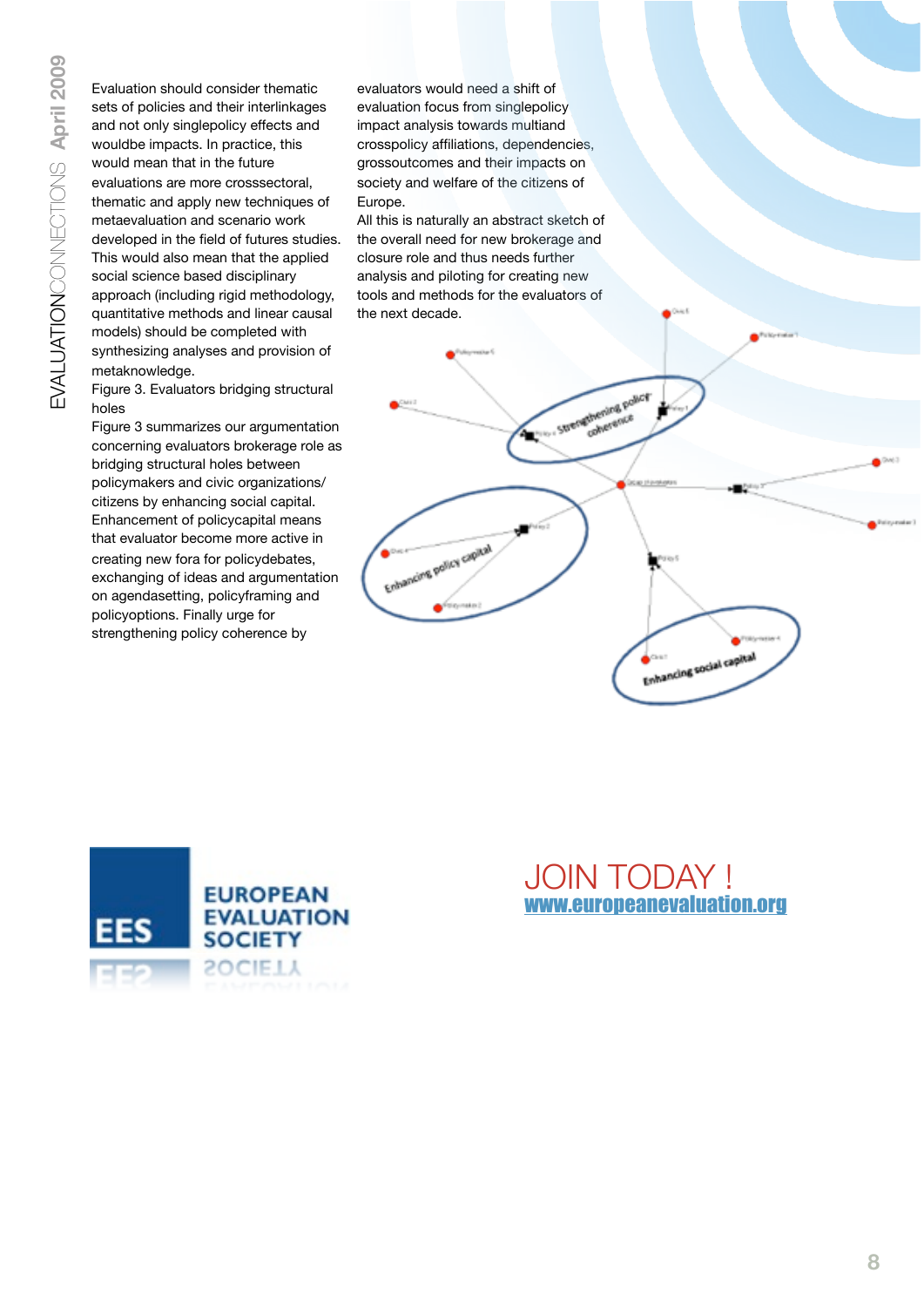Evaluation should consider thematic sets of policies and their interlinkages and not only singlepolicy effects and wouldbe impacts. In practice, this would mean that in the future evaluations are more crosssectoral, thematic and apply new techniques of metaevaluation and scenario work developed in the field of futures studies. This would also mean that the applied social science based disciplinary approach (including rigid methodology, quantitative methods and linear causal models) should be completed with synthesizing analyses and provision of metaknowledge.

Figure 3. Evaluators bridging structural holes

Figure 3 summarizes our argumentation concerning evaluators brokerage role as bridging structural holes between policymakers and civic organizations/ citizens by enhancing social capital. Enhancement of policycapital means that evaluator become more active in creating new fora for policydebates, exchanging of ideas and argumentation on agendasetting, policyframing and policyoptions. Finally urge for strengthening policy coherence by

evaluators would need a shift of evaluation focus from singlepolicy impact analysis towards multiand crosspolicy affiliations, dependencies, grossoutcomes and their impacts on society and welfare of the citizens of Europe.

All this is naturally an abstract sketch of the overall need for new brokerage and closure role and thus needs further analysis and piloting for creating new tools and methods for the evaluators of the next decade.





## JOIN TODAY ! [www.europeanevaluation.org](http://www.europeanevaluation.org)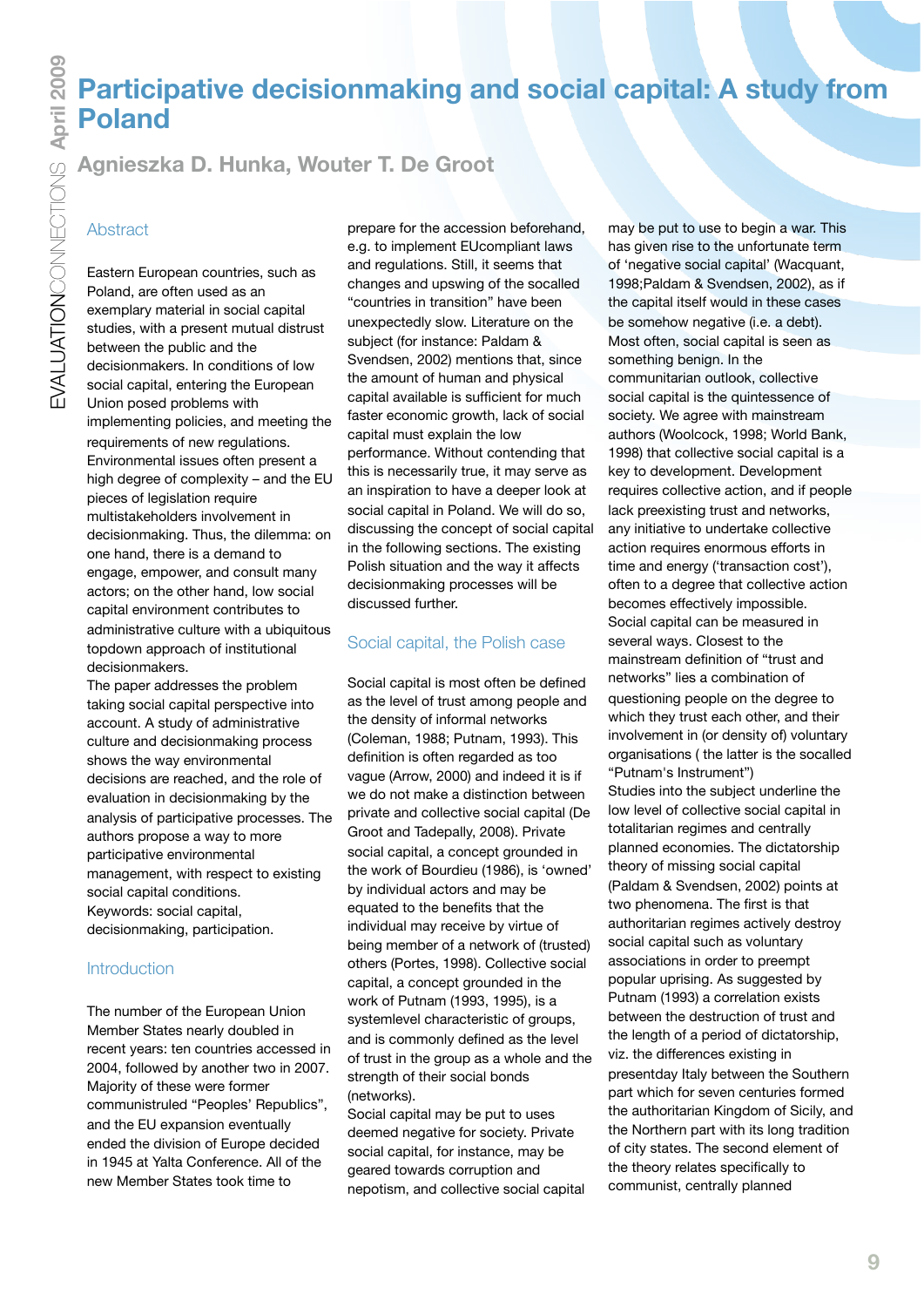## **Participative decisionmaking and social capital: A study from Poland**

**Agnieszka D. Hunka, Wouter T. De Groot**

#### Abstract

Eastern European countries, such as Poland, are often used as an exemplary material in social capital studies, with a present mutual distrust between the public and the decisionmakers. In conditions of low social capital, entering the European Union posed problems with implementing policies, and meeting the requirements of new regulations. Environmental issues often present a high degree of complexity – and the EU pieces of legislation require multistakeholders involvement in decisionmaking. Thus, the dilemma: on one hand, there is a demand to engage, empower, and consult many actors; on the other hand, low social capital environment contributes to administrative culture with a ubiquitous topdown approach of institutional decisionmakers.

The paper addresses the problem taking social capital perspective into account. A study of administrative culture and decisionmaking process shows the way environmental decisions are reached, and the role of evaluation in decisionmaking by the analysis of participative processes. The authors propose a way to more participative environmental management, with respect to existing social capital conditions. Keywords: social capital, decisionmaking, participation.

#### **Introduction**

The number of the European Union Member States nearly doubled in recent years: ten countries accessed in 2004, followed by another two in 2007. Majority of these were former communistruled "Peoples' Republics", and the EU expansion eventually ended the division of Europe decided in 1945 at Yalta Conference. All of the new Member States took time to

prepare for the accession beforehand, e.g. to implement EUcompliant laws and regulations. Still, it seems that changes and upswing of the socalled "countries in transition" have been unexpectedly slow. Literature on the subject (for instance: Paldam & Svendsen, 2002) mentions that, since the amount of human and physical capital available is sufficient for much faster economic growth, lack of social capital must explain the low performance. Without contending that this is necessarily true, it may serve as an inspiration to have a deeper look at social capital in Poland. We will do so, discussing the concept of social capital in the following sections. The existing Polish situation and the way it affects decisionmaking processes will be discussed further.

#### Social capital, the Polish case

Social capital is most often be defined as the level of trust among people and the density of informal networks (Coleman, 1988; Putnam, 1993). This definition is often regarded as too vague (Arrow, 2000) and indeed it is if we do not make a distinction between private and collective social capital (De Groot and Tadepally, 2008). Private social capital, a concept grounded in the work of Bourdieu (1986), is 'owned' by individual actors and may be equated to the benefits that the individual may receive by virtue of being member of a network of (trusted) others (Portes, 1998). Collective social capital, a concept grounded in the work of Putnam (1993, 1995), is a systemlevel characteristic of groups. and is commonly defined as the level of trust in the group as a whole and the strength of their social bonds (networks).

Social capital may be put to uses deemed negative for society. Private social capital, for instance, may be geared towards corruption and nepotism, and collective social capital

may be put to use to begin a war. This has given rise to the unfortunate term of 'negative social capital' (Wacquant, 1998;Paldam & Svendsen, 2002), as if the capital itself would in these cases be somehow negative (i.e. a debt). Most often, social capital is seen as something benign. In the communitarian outlook, collective social capital is the quintessence of society. We agree with mainstream authors (Woolcock, 1998; World Bank, 1998) that collective social capital is a key to development. Development requires collective action, and if people lack preexisting trust and networks, any initiative to undertake collective action requires enormous efforts in time and energy ('transaction cost'), often to a degree that collective action becomes effectively impossible. Social capital can be measured in several ways. Closest to the mainstream definition of "trust and networks" lies a combination of questioning people on the degree to which they trust each other, and their involvement in (or density of) voluntary organisations ( the latter is the socalled "Putnam's Instrument") Studies into the subject underline the low level of collective social capital in totalitarian regimes and centrally planned economies. The dictatorship theory of missing social capital (Paldam & Svendsen, 2002) points at two phenomena. The first is that authoritarian regimes actively destroy social capital such as voluntary associations in order to preempt popular uprising. As suggested by Putnam (1993) a correlation exists between the destruction of trust and the length of a period of dictatorship, viz. the differences existing in presentday Italy between the Southern part which for seven centuries formed the authoritarian Kingdom of Sicily, and the Northern part with its long tradition of city states. The second element of the theory relates specifically to communist, centrally planned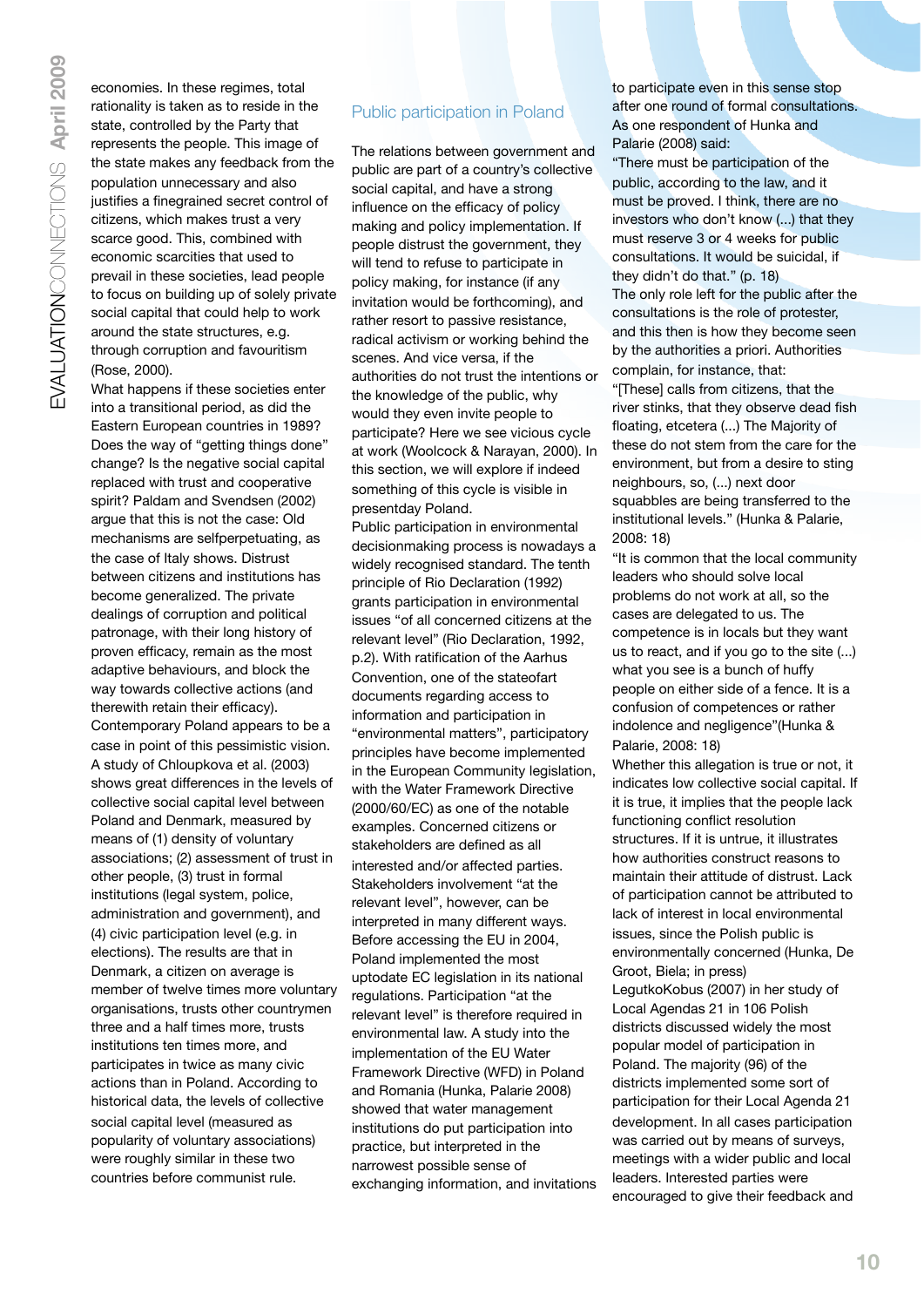economies. In these regimes, total rationality is taken as to reside in the state, controlled by the Party that represents the people. This image of the state makes any feedback from the population unnecessary and also justifies a finegrained secret control of citizens, which makes trust a very scarce good. This, combined with economic scarcities that used to prevail in these societies, lead people to focus on building up of solely private social capital that could help to work around the state structures, e.g. through corruption and favouritism (Rose, 2000).

What happens if these societies enter into a transitional period, as did the Eastern European countries in 1989? Does the way of "getting things done" change? Is the negative social capital replaced with trust and cooperative spirit? Paldam and Svendsen (2002) argue that this is not the case: Old mechanisms are selfperpetuating, as the case of Italy shows. Distrust between citizens and institutions has become generalized. The private dealings of corruption and political patronage, with their long history of proven efficacy, remain as the most adaptive behaviours, and block the way towards collective actions (and therewith retain their efficacy). Contemporary Poland appears to be a case in point of this pessimistic vision. A study of Chloupkova et al. (2003) shows great differences in the levels of collective social capital level between Poland and Denmark, measured by means of (1) density of voluntary associations; (2) assessment of trust in other people, (3) trust in formal institutions (legal system, police, administration and government), and (4) civic participation level (e.g. in elections). The results are that in Denmark, a citizen on average is member of twelve times more voluntary organisations, trusts other countrymen three and a half times more, trusts institutions ten times more, and participates in twice as many civic actions than in Poland. According to historical data, the levels of collective social capital level (measured as popularity of voluntary associations) were roughly similar in these two countries before communist rule.

#### Public participation in Poland

The relations between government and public are part of a country's collective social capital, and have a strong influence on the efficacy of policy making and policy implementation. If people distrust the government, they will tend to refuse to participate in policy making, for instance (if any invitation would be forthcoming), and rather resort to passive resistance, radical activism or working behind the scenes. And vice versa, if the authorities do not trust the intentions or the knowledge of the public, why would they even invite people to participate? Here we see vicious cycle at work (Woolcock & Narayan, 2000). In this section, we will explore if indeed something of this cycle is visible in presentday Poland.

Public participation in environmental decisionmaking process is nowadays a widely recognised standard. The tenth principle of Rio Declaration (1992) grants participation in environmental issues "of all concerned citizens at the relevant level" (Rio Declaration, 1992, p.2). With ratification of the Aarhus Convention, one of the stateofart documents regarding access to information and participation in "environmental matters", participatory principles have become implemented in the European Community legislation, with the Water Framework Directive (2000/60/EC) as one of the notable examples. Concerned citizens or stakeholders are defined as all interested and/or affected parties. Stakeholders involvement "at the relevant level", however, can be interpreted in many different ways. Before accessing the EU in 2004, Poland implemented the most uptodate EC legislation in its national regulations. Participation "at the relevant level" is therefore required in environmental law. A study into the implementation of the EU Water Framework Directive (WFD) in Poland and Romania (Hunka, Palarie 2008) showed that water management institutions do put participation into practice, but interpreted in the narrowest possible sense of exchanging information, and invitations

to participate even in this sense stop after one round of formal consultations. As one respondent of Hunka and Palarie (2008) said:

"There must be participation of the public, according to the law, and it must be proved. I think, there are no investors who don't know (...) that they must reserve 3 or 4 weeks for public consultations. It would be suicidal, if they didn't do that." (p. 18) The only role left for the public after the consultations is the role of protester, and this then is how they become seen by the authorities a priori. Authorities complain, for instance, that:

"[These] calls from citizens, that the river stinks, that they observe dead fish floating, etcetera (...) The Majority of these do not stem from the care for the environment, but from a desire to sting neighbours, so, (...) next door squabbles are being transferred to the institutional levels." (Hunka & Palarie, 2008: 18)

"It is common that the local community leaders who should solve local problems do not work at all, so the cases are delegated to us. The competence is in locals but they want us to react, and if you go to the site (...) what you see is a bunch of huffy people on either side of a fence. It is a confusion of competences or rather indolence and negligence"(Hunka & Palarie, 2008: 18)

Whether this allegation is true or not, it indicates low collective social capital. If it is true, it implies that the people lack functioning conflict resolution structures. If it is untrue, it illustrates how authorities construct reasons to maintain their attitude of distrust. Lack of participation cannot be attributed to lack of interest in local environmental issues, since the Polish public is environmentally concerned (Hunka, De Groot, Biela; in press) LegutkoKobus (2007) in her study of Local Agendas 21 in 106 Polish districts discussed widely the most popular model of participation in Poland. The majority (96) of the districts implemented some sort of participation for their Local Agenda 21 development. In all cases participation was carried out by means of surveys, meetings with a wider public and local leaders. Interested parties were encouraged to give their feedback and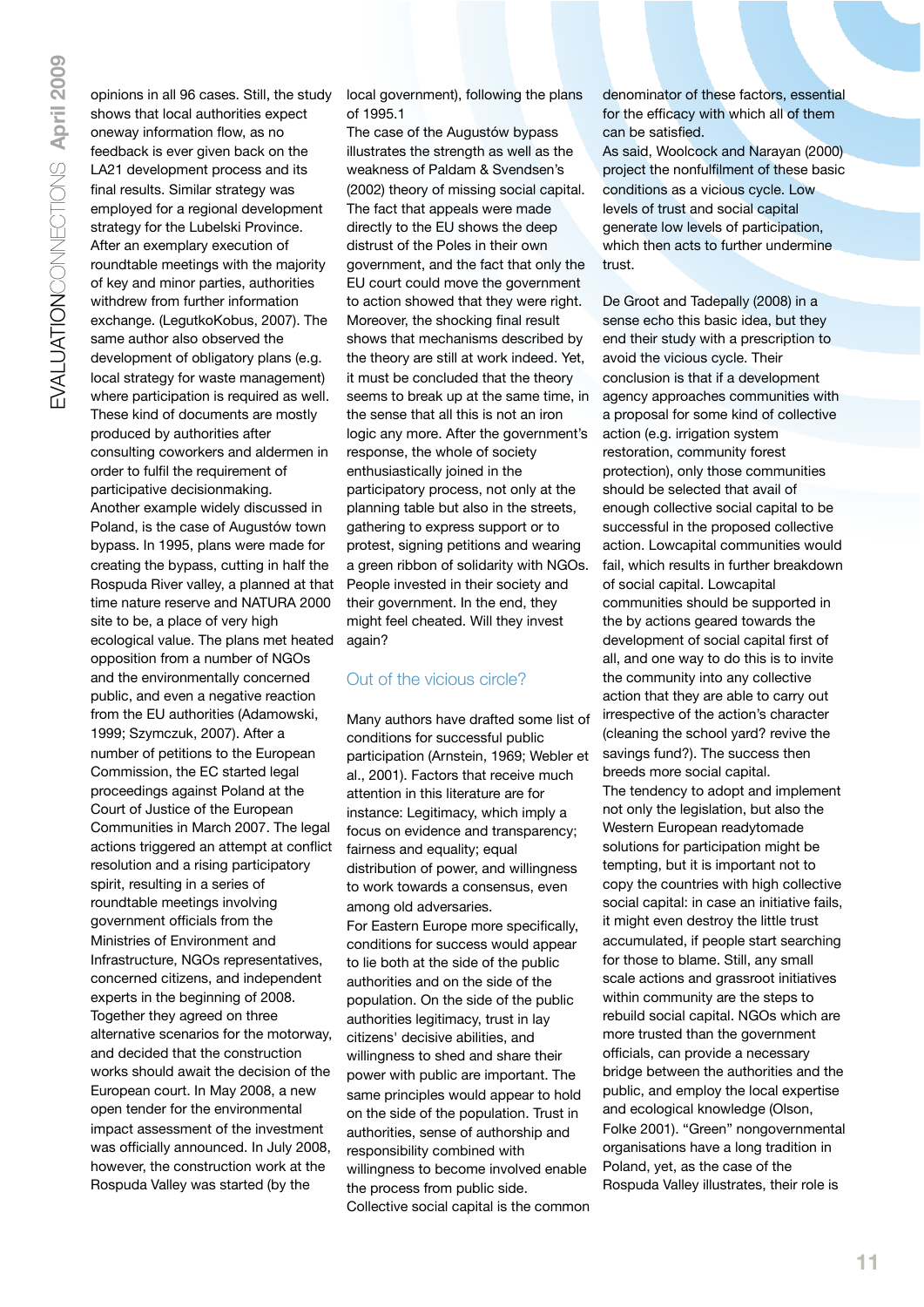opinions in all 96 cases. Still, the study shows that local authorities expect oneway information flow, as no feedback is ever given back on the LA21 development process and its final results. Similar strategy was employed for a regional development strategy for the Lubelski Province. After an exemplary execution of roundtable meetings with the majority of key and minor parties, authorities withdrew from further information exchange. (LegutkoKobus, 2007). The same author also observed the development of obligatory plans (e.g. local strategy for waste management) where participation is required as well. These kind of documents are mostly produced by authorities after consulting coworkers and aldermen in order to fulfil the requirement of participative decisionmaking. Another example widely discussed in Poland, is the case of Augustów town bypass. In 1995, plans were made for creating the bypass, cutting in half the Rospuda River valley, a planned at that time nature reserve and NATURA 2000 site to be, a place of very high ecological value. The plans met heated opposition from a number of NGOs and the environmentally concerned public, and even a negative reaction from the EU authorities (Adamowski, 1999; Szymczuk, 2007). After a number of petitions to the European Commission, the EC started legal proceedings against Poland at the Court of Justice of the European Communities in March 2007. The legal actions triggered an attempt at conflict resolution and a rising participatory spirit, resulting in a series of roundtable meetings involving government officials from the Ministries of Environment and Infrastructure, NGOs representatives, concerned citizens, and independent experts in the beginning of 2008. Together they agreed on three alternative scenarios for the motorway, and decided that the construction works should await the decision of the European court. In May 2008, a new open tender for the environmental impact assessment of the investment was officially announced. In July 2008, however, the construction work at the Rospuda Valley was started (by the

local government), following the plans of 1995.1

The case of the Augustów bypass illustrates the strength as well as the weakness of Paldam & Svendsen's (2002) theory of missing social capital. The fact that appeals were made directly to the EU shows the deep distrust of the Poles in their own government, and the fact that only the EU court could move the government to action showed that they were right. Moreover, the shocking final result shows that mechanisms described by the theory are still at work indeed. Yet, it must be concluded that the theory seems to break up at the same time, in the sense that all this is not an iron logic any more. After the government's response, the whole of society enthusiastically joined in the participatory process, not only at the planning table but also in the streets, gathering to express support or to protest, signing petitions and wearing a green ribbon of solidarity with NGOs. People invested in their society and their government. In the end, they might feel cheated. Will they invest again?

#### Out of the vicious circle?

Many authors have drafted some list of conditions for successful public participation (Arnstein, 1969; Webler et al., 2001). Factors that receive much attention in this literature are for instance: Legitimacy, which imply a focus on evidence and transparency; fairness and equality; equal distribution of power, and willingness to work towards a consensus, even among old adversaries. For Eastern Europe more specifically, conditions for success would appear to lie both at the side of the public authorities and on the side of the population. On the side of the public authorities legitimacy, trust in lay citizens' decisive abilities, and willingness to shed and share their power with public are important. The same principles would appear to hold on the side of the population. Trust in authorities, sense of authorship and responsibility combined with willingness to become involved enable the process from public side. Collective social capital is the common

denominator of these factors, essential for the efficacy with which all of them can be satisfied.

As said, Woolcock and Narayan (2000) project the nonfulfilment of these basic conditions as a vicious cycle. Low levels of trust and social capital generate low levels of participation, which then acts to further undermine trust.

De Groot and Tadepally (2008) in a sense echo this basic idea, but they end their study with a prescription to avoid the vicious cycle. Their conclusion is that if a development agency approaches communities with a proposal for some kind of collective action (e.g. irrigation system restoration, community forest protection), only those communities should be selected that avail of enough collective social capital to be successful in the proposed collective action. Lowcapital communities would fail, which results in further breakdown of social capital. Lowcapital communities should be supported in the by actions geared towards the development of social capital first of all, and one way to do this is to invite the community into any collective action that they are able to carry out irrespective of the action's character (cleaning the school yard? revive the savings fund?). The success then breeds more social capital. The tendency to adopt and implement not only the legislation, but also the Western European readytomade solutions for participation might be tempting, but it is important not to copy the countries with high collective social capital: in case an initiative fails, it might even destroy the little trust accumulated, if people start searching for those to blame. Still, any small scale actions and grassroot initiatives within community are the steps to rebuild social capital. NGOs which are more trusted than the government officials, can provide a necessary bridge between the authorities and the public, and employ the local expertise and ecological knowledge (Olson, Folke 2001). "Green" nongovernmental organisations have a long tradition in Poland, yet, as the case of the Rospuda Valley illustrates, their role is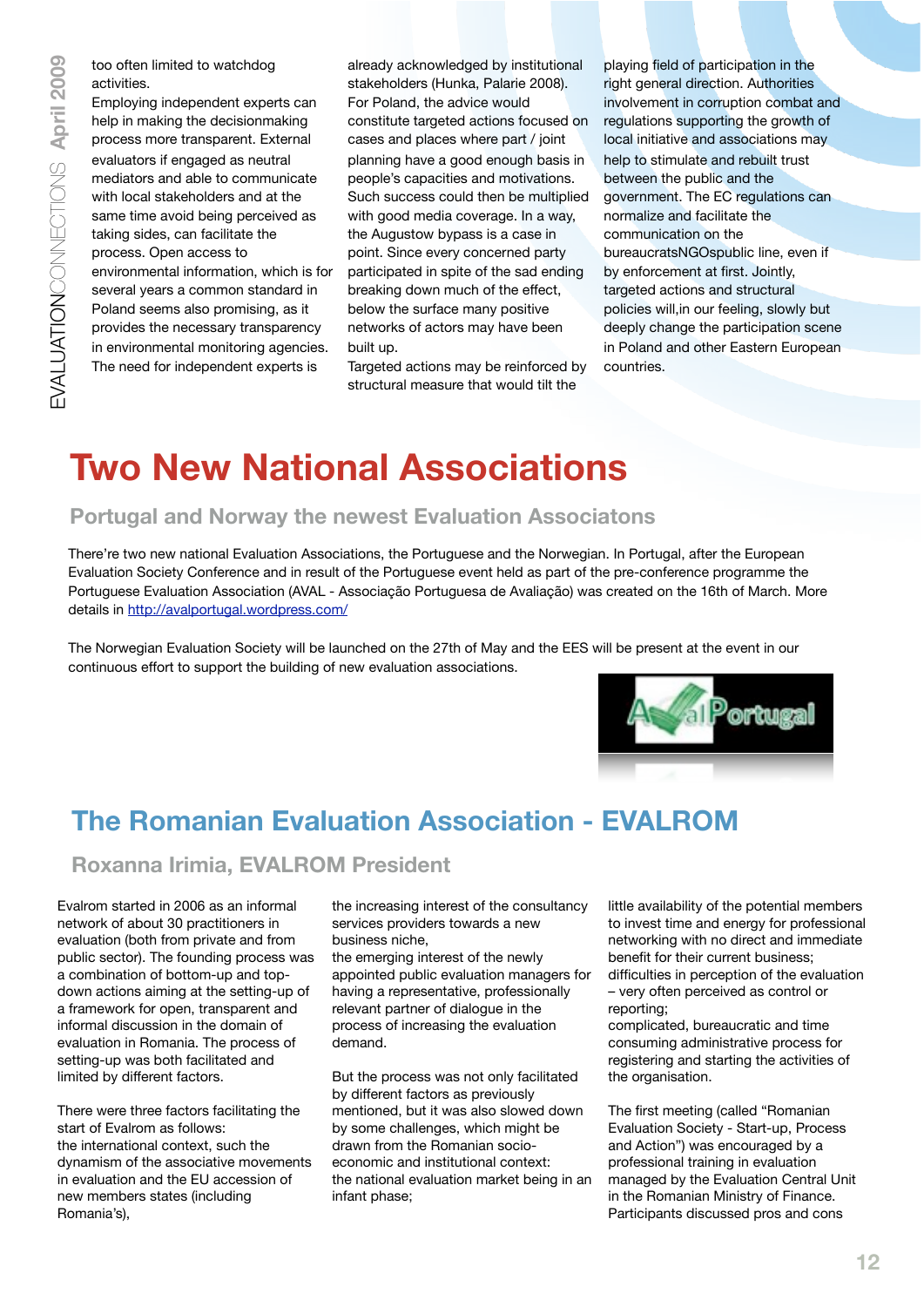too often limited to watchdog activities.

Employing independent experts can help in making the decisionmaking process more transparent. External evaluators if engaged as neutral mediators and able to communicate with local stakeholders and at the same time avoid being perceived as taking sides, can facilitate the process. Open access to environmental information, which is for several years a common standard in Poland seems also promising, as it provides the necessary transparency in environmental monitoring agencies. The need for independent experts is

already acknowledged by institutional stakeholders (Hunka, Palarie 2008). For Poland, the advice would constitute targeted actions focused on cases and places where part / joint planning have a good enough basis in people's capacities and motivations. Such success could then be multiplied with good media coverage. In a way, the Augustow bypass is a case in point. Since every concerned party participated in spite of the sad ending breaking down much of the effect, below the surface many positive networks of actors may have been built up.

Targeted actions may be reinforced by structural measure that would tilt the

playing field of participation in the right general direction. Authorities involvement in corruption combat and regulations supporting the growth of local initiative and associations may help to stimulate and rebuilt trust between the public and the government. The EC regulations can normalize and facilitate the communication on the bureaucratsNGOspublic line, even if by enforcement at first. Jointly, targeted actions and structural policies will,in our feeling, slowly but deeply change the participation scene in Poland and other Eastern European countries.

# **Two New National Associations**

#### **Portugal and Norway the newest Evaluation Associatons**

There're two new national Evaluation Associations, the Portuguese and the Norwegian. In Portugal, after the European Evaluation Society Conference and in result of the Portuguese event held as part of the pre-conference programme the Portuguese Evaluation Association (AVAL - Associação Portuguesa de Avaliação) was created on the 16th of March. More details in [http://avalportugal.wordpress.com/](http://avalportugal.wordpress.com)

The Norwegian Evaluation Society will be launched on the 27th of May and the EES will be present at the event in our continuous effort to support the building of new evaluation associations.



## **The Romanian Evaluation Association - EVALROM**

**Roxanna Irimia, EVALROM President**

Evalrom started in 2006 as an informal network of about 30 practitioners in evaluation (both from private and from public sector). The founding process was a combination of bottom-up and topdown actions aiming at the setting-up of a framework for open, transparent and informal discussion in the domain of evaluation in Romania. The process of setting-up was both facilitated and limited by different factors.

There were three factors facilitating the start of Evalrom as follows: the international context, such the dynamism of the associative movements in evaluation and the EU accession of new members states (including Romania's),

the increasing interest of the consultancy services providers towards a new business niche,

the emerging interest of the newly appointed public evaluation managers for having a representative, professionally relevant partner of dialogue in the process of increasing the evaluation demand.

But the process was not only facilitated by different factors as previously mentioned, but it was also slowed down by some challenges, which might be drawn from the Romanian socioeconomic and institutional context: the national evaluation market being in an infant phase;

little availability of the potential members to invest time and energy for professional networking with no direct and immediate benefit for their current business;

difficulties in perception of the evaluation – very often perceived as control or reporting;

complicated, bureaucratic and time consuming administrative process for registering and starting the activities of the organisation.

The first meeting (called "Romanian Evaluation Society - Start-up, Process and Action") was encouraged by a professional training in evaluation managed by the Evaluation Central Unit in the Romanian Ministry of Finance. Participants discussed pros and cons